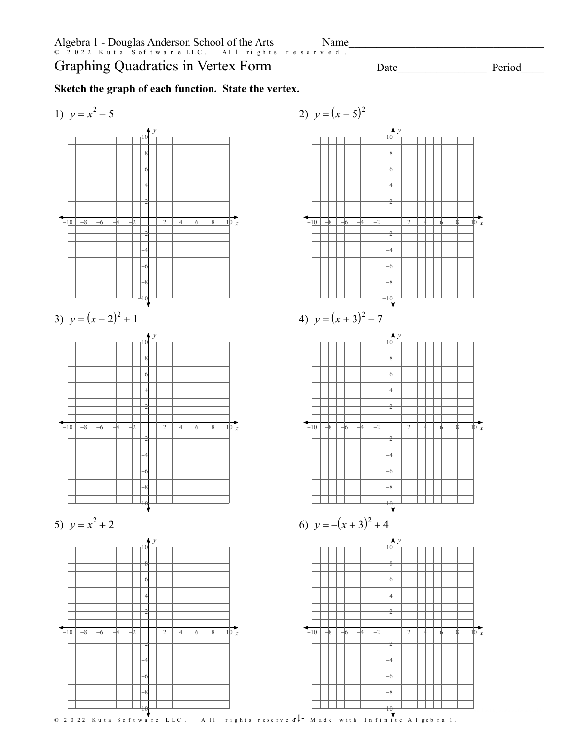Period

 $Name$   $\Box$ 

## **Sketch the graph of each function. State the vertex.**





©\ e2N0A2]2y vKyuvthas hS^ohfvtTwxaXrceZ FLuLtCB.W <sup>c</sup> MAYlclW Drxiugbh]tvsT IrZe`s\epr[vSeKdo.B <sup>k</sup> IMCaId\_eD ^weijtbhxDIvnEfbiSnZixthey JAClmg`e`bKrxas [1u. Worksheet by Kuta Software LLC -1-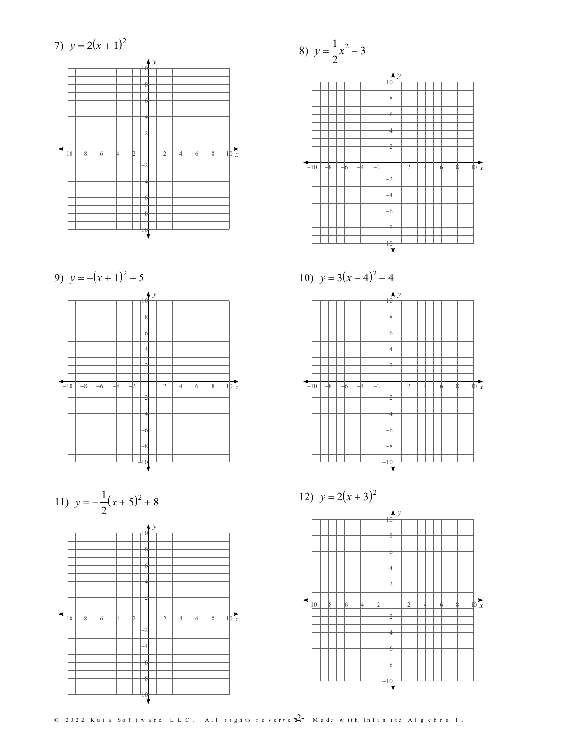

9) 
$$
y = -(x+1)^2 + 5
$$



11) 
$$
y = -\frac{1}{2}(x+5)^2 + 8
$$



8) 
$$
y = \frac{1}{2}x^2 - 3
$$





12)  $y = 2(x+3)^2$ 



 $\odot$  2022 Kuta Software LLC. All rights reserve  $\overline{d}$  - Made with Infinite Algebra 1.